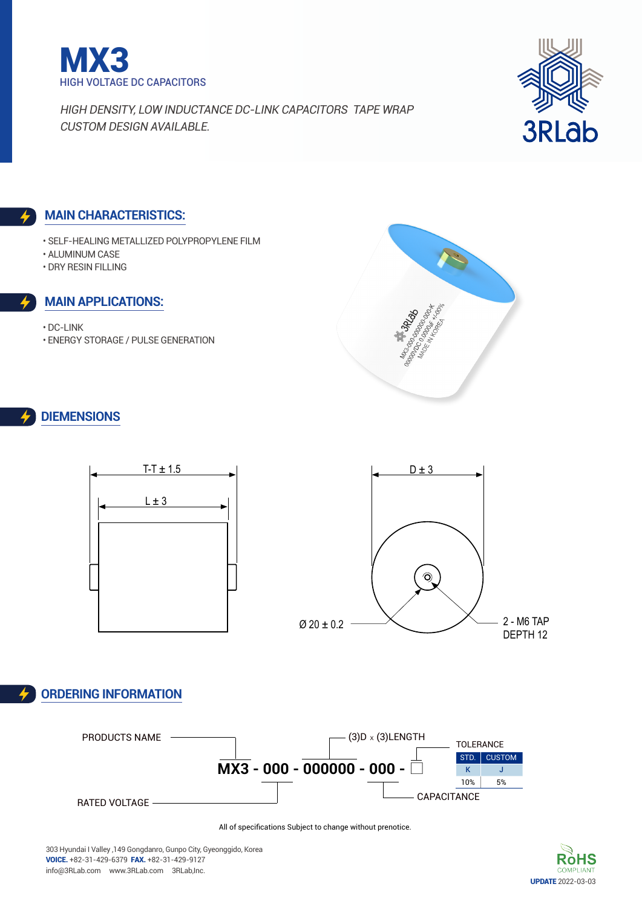



#### **Main characteristics:**

- Self-Healing Metallized Polypropylene Film
- Aluminum Case
- DRY Resin filling

#### **Main applications:**

- DC-Link
- Energy Storage / Pulse Generation



### **DIEMENSIONs**



## **Ordering Information**



All of specifications Subject to change without prenotice.

303 Hyundai I Valley ,149 Gongdanro, Gunpo City, Gyeonggido, Korea voice. +82-31-429-6379 fax. +82-31-429-9127 info@3RLab.com www.3RLab.com 3RLab,Inc.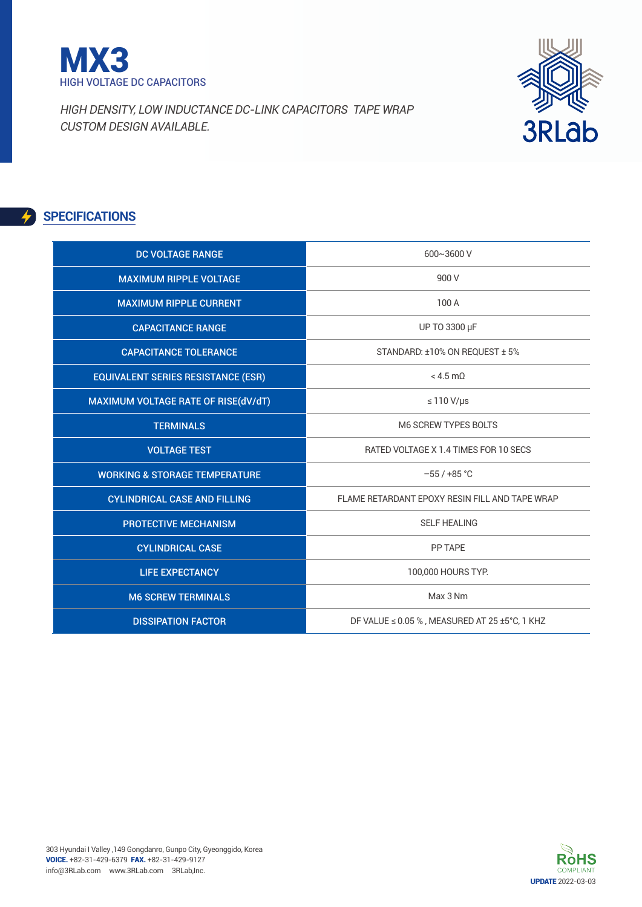



# **SPECIFICATIONS**

| <b>DC VOLTAGE RANGE</b>                   | 600~3600 V                                         |
|-------------------------------------------|----------------------------------------------------|
| <b>MAXIMUM RIPPLE VOLTAGE</b>             | 900 V                                              |
| <b>MAXIMUM RIPPLE CURRENT</b>             | 100 A                                              |
| <b>CAPACITANCE RANGE</b>                  | UP TO 3300 µF                                      |
| <b>CAPACITANCE TOLERANCE</b>              | STANDARD: ±10% ON REQUEST ± 5%                     |
| <b>EQUIVALENT SERIES RESISTANCE (ESR)</b> | $< 4.5$ m $0$                                      |
| MAXIMUM VOLTAGE RATE OF RISE(dV/dT)       | $\leq 110 \text{ V/}\mu\text{s}$                   |
| <b>TERMINALS</b>                          | <b>M6 SCREW TYPES BOLTS</b>                        |
| <b>VOLTAGE TEST</b>                       | RATED VOLTAGE X 1.4 TIMES FOR 10 SECS              |
| <b>WORKING &amp; STORAGE TEMPERATURE</b>  | $-55/+85$ °C                                       |
| <b>CYLINDRICAL CASE AND FILLING</b>       | FLAME RETARDANT EPOXY RESIN FILL AND TAPE WRAP     |
| <b>PROTECTIVE MECHANISM</b>               | <b>SELF HEALING</b>                                |
| <b>CYLINDRICAL CASE</b>                   | PP TAPE                                            |
| <b>LIFE EXPECTANCY</b>                    | 100,000 HOURS TYP.                                 |
| <b>M6 SCREW TERMINALS</b>                 | Max 3 Nm                                           |
| <b>DISSIPATION FACTOR</b>                 | DF VALUE $\leq$ 0.05 %, MEASURED AT 25 ±5°C, 1 KHZ |

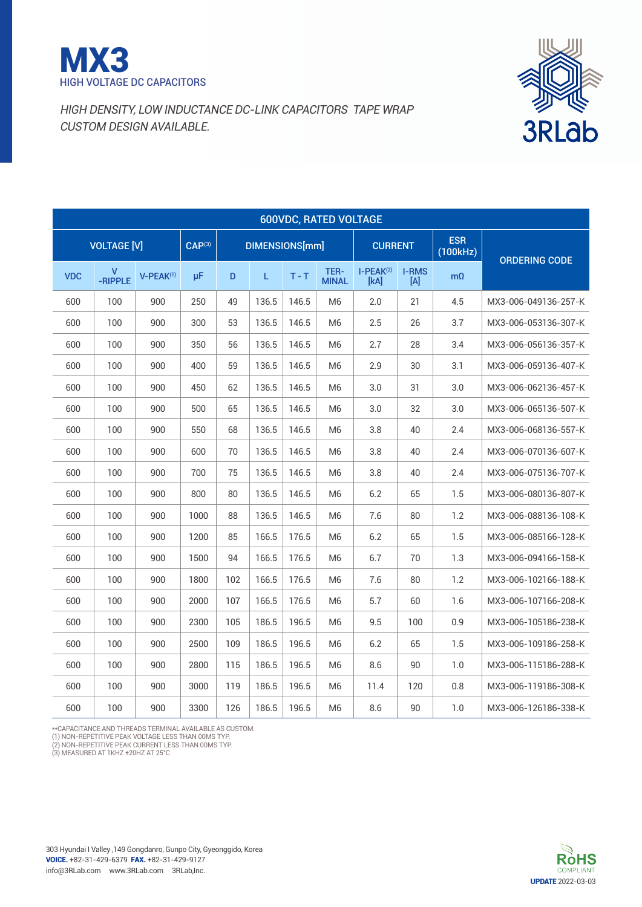



|                                                                                                                                   |     | <b>600VDC, RATED VOLTAGE</b> |     |      |     |       |       |                      |                     |                                 |                        |                      |
|-----------------------------------------------------------------------------------------------------------------------------------|-----|------------------------------|-----|------|-----|-------|-------|----------------------|---------------------|---------------------------------|------------------------|----------------------|
| CAP <sup>(3)</sup><br><b>VOLTAGE [V]</b><br>DIMENSIONS[mm]<br>V<br>-RIPPLE<br><b>VDC</b><br>V-PEAK(1)<br>μF<br>$T - T$<br>D<br>L. |     |                              |     |      |     |       |       |                      | <b>CURRENT</b>      |                                 | <b>ESR</b><br>(100kHz) | <b>ORDERING CODE</b> |
|                                                                                                                                   |     |                              |     |      |     |       |       | TER-<br><b>MINAL</b> | $I-PEAK(2)$<br>[kA] | <b>I-RMS</b><br>$[{\mathsf A}]$ | $m\Omega$              |                      |
|                                                                                                                                   | 600 | 100                          | 900 | 250  | 49  | 136.5 | 146.5 | M <sub>6</sub>       | 2.0                 | 21                              | 4.5                    | MX3-006-049136-257-K |
|                                                                                                                                   | 600 | 100                          | 900 | 300  | 53  | 136.5 | 146.5 | M <sub>6</sub>       | 2.5                 | 26                              | 3.7                    | MX3-006-053136-307-K |
|                                                                                                                                   | 600 | 100                          | 900 | 350  | 56  | 136.5 | 146.5 | M <sub>6</sub>       | 2.7                 | 28                              | 3.4                    | MX3-006-056136-357-K |
|                                                                                                                                   | 600 | 100                          | 900 | 400  | 59  | 136.5 | 146.5 | M <sub>6</sub>       | 2.9                 | 30                              | 3.1                    | MX3-006-059136-407-K |
|                                                                                                                                   | 600 | 100                          | 900 | 450  | 62  | 136.5 | 146.5 | M6                   | 3.0                 | 31                              | 3.0                    | MX3-006-062136-457-K |
|                                                                                                                                   | 600 | 100                          | 900 | 500  | 65  | 136.5 | 146.5 | M6                   | 3.0                 | 32                              | 3.0                    | MX3-006-065136-507-K |
|                                                                                                                                   | 600 | 100                          | 900 | 550  | 68  | 136.5 | 146.5 | M6                   | 3.8                 | 40                              | 2.4                    | MX3-006-068136-557-K |
|                                                                                                                                   | 600 | 100                          | 900 | 600  | 70  | 136.5 | 146.5 | M6                   | 3.8                 | 40                              | 2.4                    | MX3-006-070136-607-K |
|                                                                                                                                   | 600 | 100                          | 900 | 700  | 75  | 136.5 | 146.5 | M <sub>6</sub>       | 3.8                 | 40                              | 2.4                    | MX3-006-075136-707-K |
|                                                                                                                                   | 600 | 100                          | 900 | 800  | 80  | 136.5 | 146.5 | M <sub>6</sub>       | 6.2                 | 65                              | 1.5                    | MX3-006-080136-807-K |
|                                                                                                                                   | 600 | 100                          | 900 | 1000 | 88  | 136.5 | 146.5 | M <sub>6</sub>       | 7.6                 | 80                              | 1.2                    | MX3-006-088136-108-K |
|                                                                                                                                   | 600 | 100                          | 900 | 1200 | 85  | 166.5 | 176.5 | M <sub>6</sub>       | 6.2                 | 65                              | 1.5                    | MX3-006-085166-128-K |
|                                                                                                                                   | 600 | 100                          | 900 | 1500 | 94  | 166.5 | 176.5 | M <sub>6</sub>       | 6.7                 | 70                              | 1.3                    | MX3-006-094166-158-K |
|                                                                                                                                   | 600 | 100                          | 900 | 1800 | 102 | 166.5 | 176.5 | M <sub>6</sub>       | 7.6                 | 80                              | 1.2                    | MX3-006-102166-188-K |
|                                                                                                                                   | 600 | 100                          | 900 | 2000 | 107 | 166.5 | 176.5 | M <sub>6</sub>       | 5.7                 | 60                              | 1.6                    | MX3-006-107166-208-K |
|                                                                                                                                   | 600 | 100                          | 900 | 2300 | 105 | 186.5 | 196.5 | M <sub>6</sub>       | 9.5                 | 100                             | 0.9                    | MX3-006-105186-238-K |
|                                                                                                                                   | 600 | 100                          | 900 | 2500 | 109 | 186.5 | 196.5 | M <sub>6</sub>       | 6.2                 | 65                              | 1.5                    | MX3-006-109186-258-K |
|                                                                                                                                   | 600 | 100                          | 900 | 2800 | 115 | 186.5 | 196.5 | M6                   | 8.6                 | 90                              | 1.0                    | MX3-006-115186-288-K |
|                                                                                                                                   | 600 | 100                          | 900 | 3000 | 119 | 186.5 | 196.5 | M <sub>6</sub>       | 11.4                | 120                             | 0.8                    | MX3-006-119186-308-K |
|                                                                                                                                   | 600 | 100                          | 900 | 3300 | 126 | 186.5 | 196.5 | M <sub>6</sub>       | 8.6                 | 90                              | 1.0                    | MX3-006-126186-338-K |

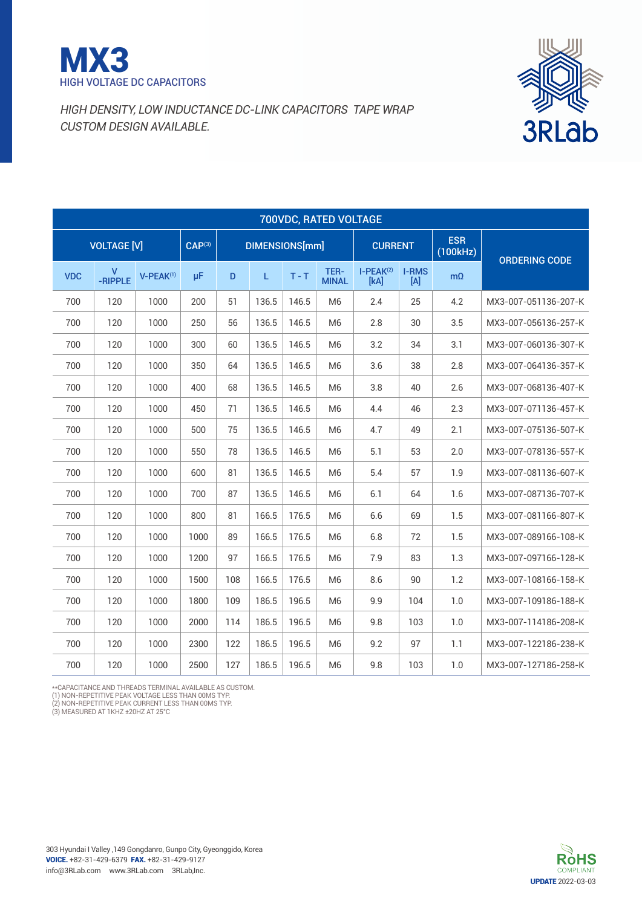



|            | 700VDC, RATED VOLTAGE |                |                        |     |                       |         |                      |                     |                     |                        |                      |  |  |
|------------|-----------------------|----------------|------------------------|-----|-----------------------|---------|----------------------|---------------------|---------------------|------------------------|----------------------|--|--|
|            | <b>VOLTAGE [V]</b>    |                | $\overline{CAP}^{(3)}$ |     | <b>DIMENSIONS[mm]</b> |         |                      | <b>CURRENT</b>      |                     | <b>ESR</b><br>(100kHz) | <b>ORDERING CODE</b> |  |  |
| <b>VDC</b> | V<br>-RIPPLE          | $V-PEAK^{(1)}$ | μF                     | D   | L.                    | $T - T$ | TER-<br><b>MINAL</b> | $I-PEAK(2)$<br>[kA] | <b>I-RMS</b><br>[A] | $m\Omega$              |                      |  |  |
| 700        | 120                   | 1000           | 200                    | 51  | 136.5                 | 146.5   | M <sub>6</sub>       | 2.4                 | 25                  | 4.2                    | MX3-007-051136-207-K |  |  |
| 700        | 120                   | 1000           | 250                    | 56  | 136.5                 | 146.5   | M <sub>6</sub>       | 2.8                 | 30                  | 3.5                    | MX3-007-056136-257-K |  |  |
| 700        | 120                   | 1000           | 300                    | 60  | 136.5                 | 146.5   | M <sub>6</sub>       | 3.2                 | 34                  | 3.1                    | MX3-007-060136-307-K |  |  |
| 700        | 120                   | 1000           | 350                    | 64  | 136.5                 | 146.5   | M <sub>6</sub>       | 3.6                 | 38                  | 2.8                    | MX3-007-064136-357-K |  |  |
| 700        | 120                   | 1000           | 400                    | 68  | 136.5                 | 146.5   | M <sub>6</sub>       | 3.8                 | 40                  | 2.6                    | MX3-007-068136-407-K |  |  |
| 700        | 120                   | 1000           | 450                    | 71  | 136.5                 | 146.5   | M <sub>6</sub>       | 4.4                 | 46                  | 2.3                    | MX3-007-071136-457-K |  |  |
| 700        | 120                   | 1000           | 500                    | 75  | 136.5                 | 146.5   | M <sub>6</sub>       | 4.7                 | 49                  | 2.1                    | MX3-007-075136-507-K |  |  |
| 700        | 120                   | 1000           | 550                    | 78  | 136.5                 | 146.5   | M <sub>6</sub>       | 5.1                 | 53                  | 2.0                    | MX3-007-078136-557-K |  |  |
| 700        | 120                   | 1000           | 600                    | 81  | 136.5                 | 146.5   | M <sub>6</sub>       | 5.4                 | 57                  | 1.9                    | MX3-007-081136-607-K |  |  |
| 700        | 120                   | 1000           | 700                    | 87  | 136.5                 | 146.5   | M <sub>6</sub>       | 6.1                 | 64                  | 1.6                    | MX3-007-087136-707-K |  |  |
| 700        | 120                   | 1000           | 800                    | 81  | 166.5                 | 176.5   | M <sub>6</sub>       | 6.6                 | 69                  | 1.5                    | MX3-007-081166-807-K |  |  |
| 700        | 120                   | 1000           | 1000                   | 89  | 166.5                 | 176.5   | M <sub>6</sub>       | 6.8                 | 72                  | 1.5                    | MX3-007-089166-108-K |  |  |
| 700        | 120                   | 1000           | 1200                   | 97  | 166.5                 | 176.5   | M <sub>6</sub>       | 7.9                 | 83                  | 1.3                    | MX3-007-097166-128-K |  |  |
| 700        | 120                   | 1000           | 1500                   | 108 | 166.5                 | 176.5   | M <sub>6</sub>       | 8.6                 | 90                  | 1.2                    | MX3-007-108166-158-K |  |  |
| 700        | 120                   | 1000           | 1800                   | 109 | 186.5                 | 196.5   | M <sub>6</sub>       | 9.9                 | 104                 | 1.0                    | MX3-007-109186-188-K |  |  |
| 700        | 120                   | 1000           | 2000                   | 114 | 186.5                 | 196.5   | M <sub>6</sub>       | 9.8                 | 103                 | 1.0                    | MX3-007-114186-208-K |  |  |
| 700        | 120                   | 1000           | 2300                   | 122 | 186.5                 | 196.5   | M <sub>6</sub>       | 9.2                 | 97                  | 1.1                    | MX3-007-122186-238-K |  |  |
| 700        | 120                   | 1000           | 2500                   | 127 | 186.5                 | 196.5   | M <sub>6</sub>       | 9.8                 | 103                 | 1.0                    | MX3-007-127186-258-K |  |  |

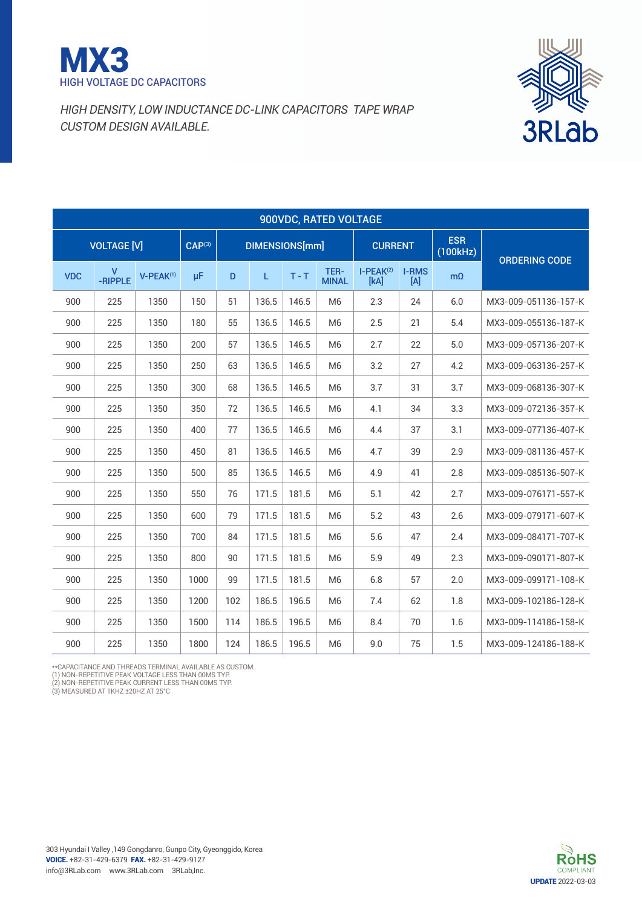



|            | 900VDC, RATED VOLTAGE |                       |                    |     |                       |         |                      |                     |                                 |                        |                      |  |
|------------|-----------------------|-----------------------|--------------------|-----|-----------------------|---------|----------------------|---------------------|---------------------------------|------------------------|----------------------|--|
|            | <b>VOLTAGE [V]</b>    |                       | CAP <sup>(3)</sup> |     | <b>DIMENSIONS[mm]</b> |         |                      | <b>CURRENT</b>      |                                 | <b>ESR</b><br>(100kHz) | <b>ORDERING CODE</b> |  |
| <b>VDC</b> | v<br>-RIPPLE          | V-PEAK <sup>(1)</sup> | μF                 | D   | L.                    | $T - T$ | TER-<br><b>MINAL</b> | $I-PEAK(2)$<br>[kA] | <b>I-RMS</b><br>$[{\mathsf A}]$ | $m\Omega$              |                      |  |
| 900        | 225                   | 1350                  | 150                | 51  | 136.5                 | 146.5   | M <sub>6</sub>       | 2.3                 | 24                              | 6.0                    | MX3-009-051136-157-K |  |
| 900        | 225                   | 1350                  | 180                | 55  | 136.5                 | 146.5   | M <sub>6</sub>       | 2.5                 | 21                              | 5.4                    | MX3-009-055136-187-K |  |
| 900        | 225                   | 1350                  | 200                | 57  | 136.5                 | 146.5   | M <sub>6</sub>       | 2.7                 | 22                              | 5.0                    | MX3-009-057136-207-K |  |
| 900        | 225                   | 1350                  | 250                | 63  | 136.5                 | 146.5   | M <sub>6</sub>       | 3.2                 | 27                              | 4.2                    | MX3-009-063136-257-K |  |
| 900        | 225                   | 1350                  | 300                | 68  | 136.5                 | 146.5   | M <sub>6</sub>       | 3.7                 | 31                              | 3.7                    | MX3-009-068136-307-K |  |
| 900        | 225                   | 1350                  | 350                | 72  | 136.5                 | 146.5   | M <sub>6</sub>       | 4.1                 | 34                              | 3.3                    | MX3-009-072136-357-K |  |
| 900        | 225                   | 1350                  | 400                | 77  | 136.5                 | 146.5   | M <sub>6</sub>       | 4.4                 | 37                              | 3.1                    | MX3-009-077136-407-K |  |
| 900        | 225                   | 1350                  | 450                | 81  | 136.5                 | 146.5   | M <sub>6</sub>       | 4.7                 | 39                              | 2.9                    | MX3-009-081136-457-K |  |
| 900        | 225                   | 1350                  | 500                | 85  | 136.5                 | 146.5   | M <sub>6</sub>       | 4.9                 | 41                              | 2.8                    | MX3-009-085136-507-K |  |
| 900        | 225                   | 1350                  | 550                | 76  | 171.5                 | 181.5   | M <sub>6</sub>       | 5.1                 | 42                              | 2.7                    | MX3-009-076171-557-K |  |
| 900        | 225                   | 1350                  | 600                | 79  | 171.5                 | 181.5   | M <sub>6</sub>       | 5.2                 | 43                              | 2.6                    | MX3-009-079171-607-K |  |
| 900        | 225                   | 1350                  | 700                | 84  | 171.5                 | 181.5   | M <sub>6</sub>       | 5.6                 | 47                              | 2.4                    | MX3-009-084171-707-K |  |
| 900        | 225                   | 1350                  | 800                | 90  | 171.5                 | 181.5   | M <sub>6</sub>       | 5.9                 | 49                              | 2.3                    | MX3-009-090171-807-K |  |
| 900        | 225                   | 1350                  | 1000               | 99  | 171.5                 | 181.5   | M <sub>6</sub>       | 6.8                 | 57                              | 2.0                    | MX3-009-099171-108-K |  |
| 900        | 225                   | 1350                  | 1200               | 102 | 186.5                 | 196.5   | M <sub>6</sub>       | 7.4                 | 62                              | 1.8                    | MX3-009-102186-128-K |  |
| 900        | 225                   | 1350                  | 1500               | 114 | 186.5                 | 196.5   | M <sub>6</sub>       | 8.4                 | 70                              | 1.6                    | MX3-009-114186-158-K |  |
| 900        | 225                   | 1350                  | 1800               | 124 | 186.5                 | 196.5   | M <sub>6</sub>       | 9.0                 | 75                              | 1.5                    | MX3-009-124186-188-K |  |

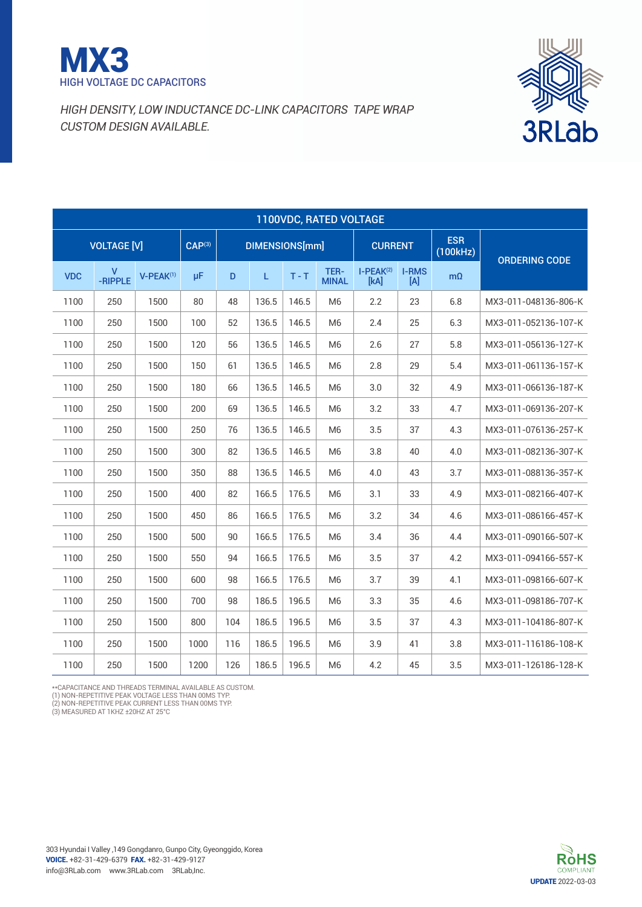



|            | 1100VDC, RATED VOLTAGE |           |                        |     |                |         |                      |                     |                        |                      |                      |  |  |
|------------|------------------------|-----------|------------------------|-----|----------------|---------|----------------------|---------------------|------------------------|----------------------|----------------------|--|--|
|            | <b>VOLTAGE [V]</b>     |           | $\overline{CAP^{(3)}}$ |     | DIMENSIONS[mm] |         | <b>CURRENT</b>       |                     | <b>ESR</b><br>(100kHz) | <b>ORDERING CODE</b> |                      |  |  |
| <b>VDC</b> | v<br>-RIPPLE           | V-PEAK(1) | μF                     | D   | L.             | $T - T$ | TER-<br><b>MINAL</b> | $I-PEAK(2)$<br>[kA] | <b>I-RMS</b><br>[A]    | $m\Omega$            |                      |  |  |
| 1100       | 250                    | 1500      | 80                     | 48  | 136.5          | 146.5   | M <sub>6</sub>       | 2.2                 | 23                     | 6.8                  | MX3-011-048136-806-K |  |  |
| 1100       | 250                    | 1500      | 100                    | 52  | 136.5          | 146.5   | M <sub>6</sub>       | 2.4                 | 25                     | 6.3                  | MX3-011-052136-107-K |  |  |
| 1100       | 250                    | 1500      | 120                    | 56  | 136.5          | 146.5   | M <sub>6</sub>       | 2.6                 | 27                     | 5.8                  | MX3-011-056136-127-K |  |  |
| 1100       | 250                    | 1500      | 150                    | 61  | 136.5          | 146.5   | M <sub>6</sub>       | 2.8                 | 29                     | 5.4                  | MX3-011-061136-157-K |  |  |
| 1100       | 250                    | 1500      | 180                    | 66  | 136.5          | 146.5   | M <sub>6</sub>       | 3.0                 | 32                     | 4.9                  | MX3-011-066136-187-K |  |  |
| 1100       | 250                    | 1500      | 200                    | 69  | 136.5          | 146.5   | M <sub>6</sub>       | 3.2                 | 33                     | 4.7                  | MX3-011-069136-207-K |  |  |
| 1100       | 250                    | 1500      | 250                    | 76  | 136.5          | 146.5   | M <sub>6</sub>       | 3.5                 | 37                     | 4.3                  | MX3-011-076136-257-K |  |  |
| 1100       | 250                    | 1500      | 300                    | 82  | 136.5          | 146.5   | M <sub>6</sub>       | 3.8                 | 40                     | 4.0                  | MX3-011-082136-307-K |  |  |
| 1100       | 250                    | 1500      | 350                    | 88  | 136.5          | 146.5   | M <sub>6</sub>       | 4.0                 | 43                     | 3.7                  | MX3-011-088136-357-K |  |  |
| 1100       | 250                    | 1500      | 400                    | 82  | 166.5          | 176.5   | M <sub>6</sub>       | 3.1                 | 33                     | 4.9                  | MX3-011-082166-407-K |  |  |
| 1100       | 250                    | 1500      | 450                    | 86  | 166.5          | 176.5   | M <sub>6</sub>       | 3.2                 | 34                     | 4.6                  | MX3-011-086166-457-K |  |  |
| 1100       | 250                    | 1500      | 500                    | 90  | 166.5          | 176.5   | M <sub>6</sub>       | 3.4                 | 36                     | 4.4                  | MX3-011-090166-507-K |  |  |
| 1100       | 250                    | 1500      | 550                    | 94  | 166.5          | 176.5   | M <sub>6</sub>       | 3.5                 | 37                     | 4.2                  | MX3-011-094166-557-K |  |  |
| 1100       | 250                    | 1500      | 600                    | 98  | 166.5          | 176.5   | M <sub>6</sub>       | 3.7                 | 39                     | 4.1                  | MX3-011-098166-607-K |  |  |
| 1100       | 250                    | 1500      | 700                    | 98  | 186.5          | 196.5   | M6                   | 3.3                 | 35                     | 4.6                  | MX3-011-098186-707-K |  |  |
| 1100       | 250                    | 1500      | 800                    | 104 | 186.5          | 196.5   | M <sub>6</sub>       | 3.5                 | 37                     | 4.3                  | MX3-011-104186-807-K |  |  |
| 1100       | 250                    | 1500      | 1000                   | 116 | 186.5          | 196.5   | M <sub>6</sub>       | 3.9                 | 41                     | 3.8                  | MX3-011-116186-108-K |  |  |
| 1100       | 250                    | 1500      | 1200                   | 126 | 186.5          | 196.5   | M <sub>6</sub>       | 4.2                 | 45                     | 3.5                  | MX3-011-126186-128-K |  |  |

\*\*Capacitance and threads terminal available as custom.

(1) NON-REPETITIVE PEAK VOLTAGE LESS THAN 00MS TYP.<br>(2) NON-REPETITIVE PEAK CURRENT LESS THAN 00MS TYP.<br>(3) MEASURED AT 1 KHZ ±20HZ AT 25°C

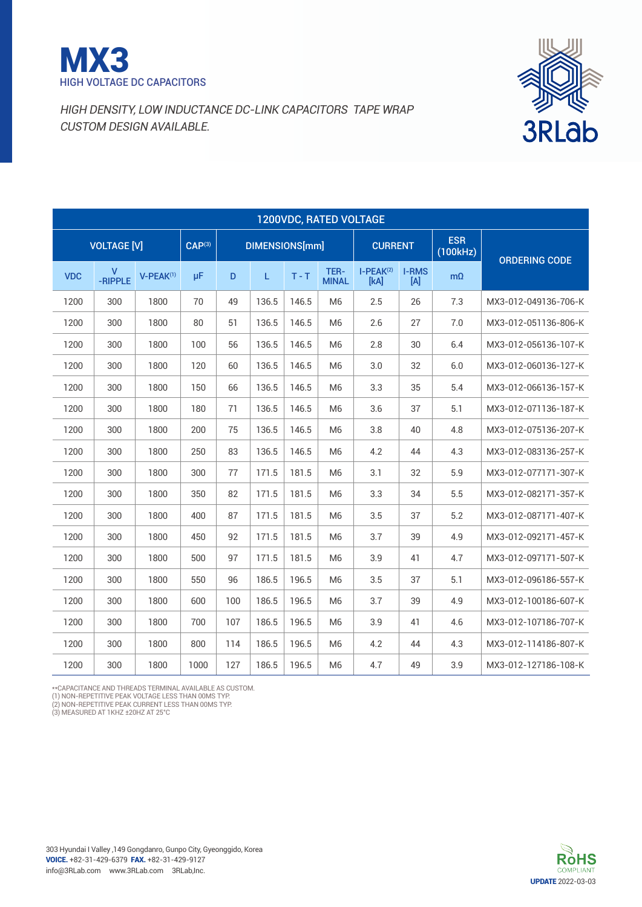



|            | 1200VDC, RATED VOLTAGE |                |                    |     |                       |         |                      |                     |                     |                        |                      |  |  |
|------------|------------------------|----------------|--------------------|-----|-----------------------|---------|----------------------|---------------------|---------------------|------------------------|----------------------|--|--|
|            | <b>VOLTAGE [V]</b>     |                | CAP <sup>(3)</sup> |     | <b>DIMENSIONS[mm]</b> |         |                      | <b>CURRENT</b>      |                     | <b>ESR</b><br>(100kHz) | <b>ORDERING CODE</b> |  |  |
| <b>VDC</b> | v<br>-RIPPLE           | $V-PEAK^{(1)}$ | μF                 | D   | L.                    | $T - T$ | TER-<br><b>MINAL</b> | $I-PEAK(2)$<br>[kA] | <b>I-RMS</b><br>[A] | $m\Omega$              |                      |  |  |
| 1200       | 300                    | 1800           | 70                 | 49  | 136.5                 | 146.5   | M <sub>6</sub>       | 2.5                 | 26                  | 7.3                    | MX3-012-049136-706-K |  |  |
| 1200       | 300                    | 1800           | 80                 | 51  | 136.5                 | 146.5   | M <sub>6</sub>       | 2.6                 | 27                  | 7.0                    | MX3-012-051136-806-K |  |  |
| 1200       | 300                    | 1800           | 100                | 56  | 136.5                 | 146.5   | M <sub>6</sub>       | 2.8                 | 30                  | 6.4                    | MX3-012-056136-107-K |  |  |
| 1200       | 300                    | 1800           | 120                | 60  | 136.5                 | 146.5   | M <sub>6</sub>       | 3.0                 | 32                  | 6.0                    | MX3-012-060136-127-K |  |  |
| 1200       | 300                    | 1800           | 150                | 66  | 136.5                 | 146.5   | M <sub>6</sub>       | 3.3                 | 35                  | 5.4                    | MX3-012-066136-157-K |  |  |
| 1200       | 300                    | 1800           | 180                | 71  | 136.5                 | 146.5   | M <sub>6</sub>       | 3.6                 | 37                  | 5.1                    | MX3-012-071136-187-K |  |  |
| 1200       | 300                    | 1800           | 200                | 75  | 136.5                 | 146.5   | M <sub>6</sub>       | 3.8                 | 40                  | 4.8                    | MX3-012-075136-207-K |  |  |
| 1200       | 300                    | 1800           | 250                | 83  | 136.5                 | 146.5   | M <sub>6</sub>       | 4.2                 | 44                  | 4.3                    | MX3-012-083136-257-K |  |  |
| 1200       | 300                    | 1800           | 300                | 77  | 171.5                 | 181.5   | M <sub>6</sub>       | 3.1                 | 32                  | 5.9                    | MX3-012-077171-307-K |  |  |
| 1200       | 300                    | 1800           | 350                | 82  | 171.5                 | 181.5   | M <sub>6</sub>       | 3.3                 | 34                  | 5.5                    | MX3-012-082171-357-K |  |  |
| 1200       | 300                    | 1800           | 400                | 87  | 171.5                 | 181.5   | M <sub>6</sub>       | 3.5                 | 37                  | 5.2                    | MX3-012-087171-407-K |  |  |
| 1200       | 300                    | 1800           | 450                | 92  | 171.5                 | 181.5   | M <sub>6</sub>       | 3.7                 | 39                  | 4.9                    | MX3-012-092171-457-K |  |  |
| 1200       | 300                    | 1800           | 500                | 97  | 171.5                 | 181.5   | M <sub>6</sub>       | 3.9                 | 41                  | 4.7                    | MX3-012-097171-507-K |  |  |
| 1200       | 300                    | 1800           | 550                | 96  | 186.5                 | 196.5   | M <sub>6</sub>       | 3.5                 | 37                  | 5.1                    | MX3-012-096186-557-K |  |  |
| 1200       | 300                    | 1800           | 600                | 100 | 186.5                 | 196.5   | M <sub>6</sub>       | 3.7                 | 39                  | 4.9                    | MX3-012-100186-607-K |  |  |
| 1200       | 300                    | 1800           | 700                | 107 | 186.5                 | 196.5   | M <sub>6</sub>       | 3.9                 | 41                  | 4.6                    | MX3-012-107186-707-K |  |  |
| 1200       | 300                    | 1800           | 800                | 114 | 186.5                 | 196.5   | M <sub>6</sub>       | 4.2                 | 44                  | 4.3                    | MX3-012-114186-807-K |  |  |
| 1200       | 300                    | 1800           | 1000               | 127 | 186.5                 | 196.5   | M <sub>6</sub>       | 4.7                 | 49                  | 3.9                    | MX3-012-127186-108-K |  |  |

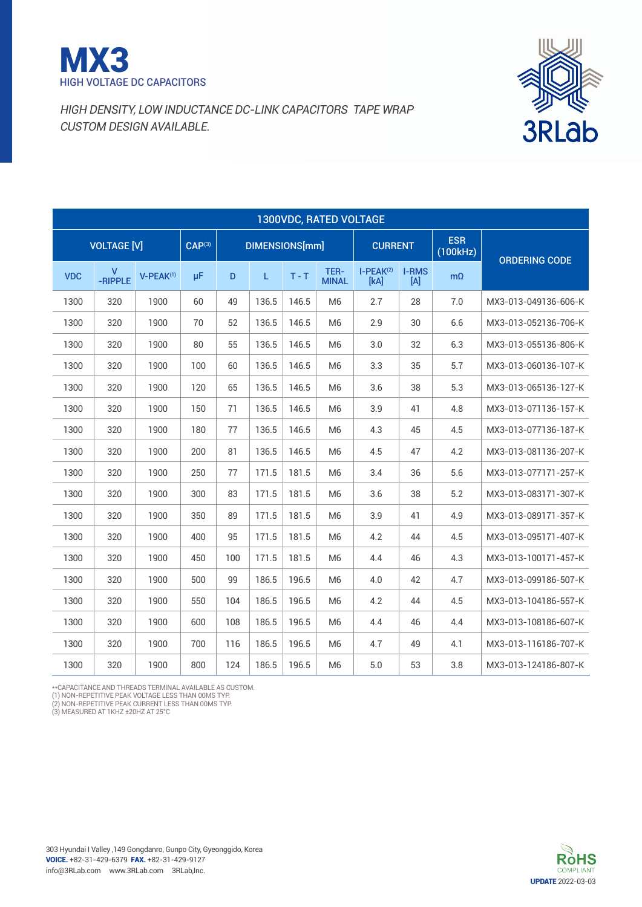



|            | 1300VDC, RATED VOLTAGE |                       |                    |     |                       |         |                      |                     |                     |                        |                      |  |  |
|------------|------------------------|-----------------------|--------------------|-----|-----------------------|---------|----------------------|---------------------|---------------------|------------------------|----------------------|--|--|
|            | <b>VOLTAGE [V]</b>     |                       | CAP <sup>(3)</sup> |     | <b>DIMENSIONS[mm]</b> |         |                      | <b>CURRENT</b>      |                     | <b>ESR</b><br>(100kHz) | <b>ORDERING CODE</b> |  |  |
| <b>VDC</b> | v<br>-RIPPLE           | V-PEAK <sup>(1)</sup> | μF                 | D   | L.                    | $T - T$ | TER-<br><b>MINAL</b> | $I-PEAK(2)$<br>[kA] | <b>I-RMS</b><br>[A] | $m\Omega$              |                      |  |  |
| 1300       | 320                    | 1900                  | 60                 | 49  | 136.5                 | 146.5   | M <sub>6</sub>       | 2.7                 | 28                  | 7.0                    | MX3-013-049136-606-K |  |  |
| 1300       | 320                    | 1900                  | 70                 | 52  | 136.5                 | 146.5   | M <sub>6</sub>       | 2.9                 | 30                  | 6.6                    | MX3-013-052136-706-K |  |  |
| 1300       | 320                    | 1900                  | 80                 | 55  | 136.5                 | 146.5   | M <sub>6</sub>       | 3.0                 | 32                  | 6.3                    | MX3-013-055136-806-K |  |  |
| 1300       | 320                    | 1900                  | 100                | 60  | 136.5                 | 146.5   | M <sub>6</sub>       | 3.3                 | 35                  | 5.7                    | MX3-013-060136-107-K |  |  |
| 1300       | 320                    | 1900                  | 120                | 65  | 136.5                 | 146.5   | M <sub>6</sub>       | 3.6                 | 38                  | 5.3                    | MX3-013-065136-127-K |  |  |
| 1300       | 320                    | 1900                  | 150                | 71  | 136.5                 | 146.5   | M <sub>6</sub>       | 3.9                 | 41                  | 4.8                    | MX3-013-071136-157-K |  |  |
| 1300       | 320                    | 1900                  | 180                | 77  | 136.5                 | 146.5   | M <sub>6</sub>       | 4.3                 | 45                  | 4.5                    | MX3-013-077136-187-K |  |  |
| 1300       | 320                    | 1900                  | 200                | 81  | 136.5                 | 146.5   | M <sub>6</sub>       | 4.5                 | 47                  | 4.2                    | MX3-013-081136-207-K |  |  |
| 1300       | 320                    | 1900                  | 250                | 77  | 171.5                 | 181.5   | M <sub>6</sub>       | 3.4                 | 36                  | 5.6                    | MX3-013-077171-257-K |  |  |
| 1300       | 320                    | 1900                  | 300                | 83  | 171.5                 | 181.5   | M <sub>6</sub>       | 3.6                 | 38                  | 5.2                    | MX3-013-083171-307-K |  |  |
| 1300       | 320                    | 1900                  | 350                | 89  | 171.5                 | 181.5   | M <sub>6</sub>       | 3.9                 | 41                  | 4.9                    | MX3-013-089171-357-K |  |  |
| 1300       | 320                    | 1900                  | 400                | 95  | 171.5                 | 181.5   | M <sub>6</sub>       | 4.2                 | 44                  | 4.5                    | MX3-013-095171-407-K |  |  |
| 1300       | 320                    | 1900                  | 450                | 100 | 171.5                 | 181.5   | M <sub>6</sub>       | 4.4                 | 46                  | 4.3                    | MX3-013-100171-457-K |  |  |
| 1300       | 320                    | 1900                  | 500                | 99  | 186.5                 | 196.5   | M <sub>6</sub>       | 4.0                 | 42                  | 4.7                    | MX3-013-099186-507-K |  |  |
| 1300       | 320                    | 1900                  | 550                | 104 | 186.5                 | 196.5   | M <sub>6</sub>       | 4.2                 | 44                  | 4.5                    | MX3-013-104186-557-K |  |  |
| 1300       | 320                    | 1900                  | 600                | 108 | 186.5                 | 196.5   | M <sub>6</sub>       | 4.4                 | 46                  | 4.4                    | MX3-013-108186-607-K |  |  |
| 1300       | 320                    | 1900                  | 700                | 116 | 186.5                 | 196.5   | M <sub>6</sub>       | 4.7                 | 49                  | 4.1                    | MX3-013-116186-707-K |  |  |
| 1300       | 320                    | 1900                  | 800                | 124 | 186.5                 | 196.5   | M <sub>6</sub>       | 5.0                 | 53                  | 3.8                    | MX3-013-124186-807-K |  |  |

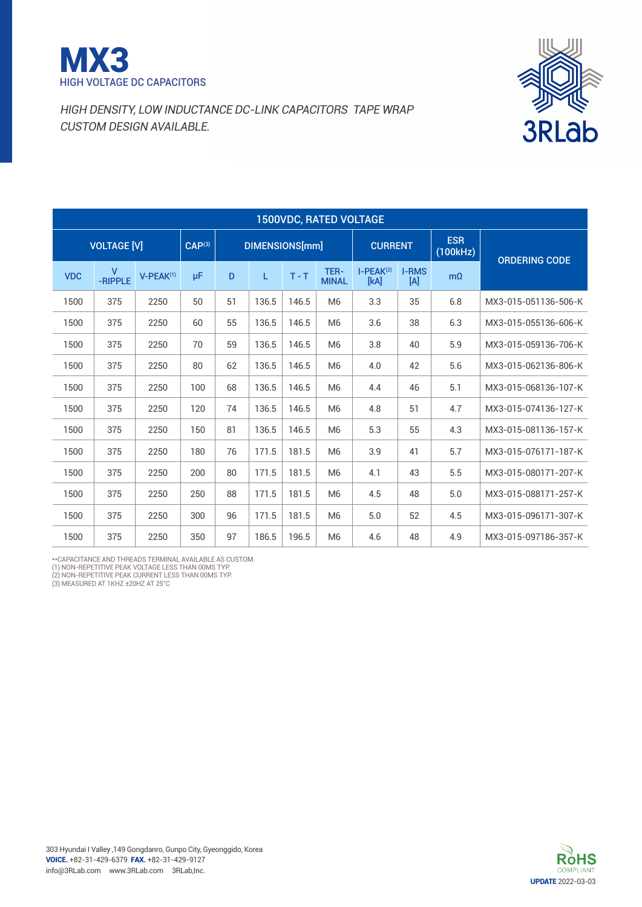



|            | <b>1500VDC, RATED VOLTAGE</b> |                |                    |    |                |         |                      |                     |                        |                      |                      |  |  |
|------------|-------------------------------|----------------|--------------------|----|----------------|---------|----------------------|---------------------|------------------------|----------------------|----------------------|--|--|
|            | <b>VOLTAGE [V]</b>            |                | CAP <sup>(3)</sup> |    | DIMENSIONS[mm] |         | <b>CURRENT</b>       |                     | <b>ESR</b><br>(100kHz) | <b>ORDERING CODE</b> |                      |  |  |
| <b>VDC</b> | v<br>-RIPPLE                  | $V-PEAK^{(1)}$ | μF                 | D  | L              | $T - T$ | TER-<br><b>MINAL</b> | $I-PEAK(2)$<br>[kA] | <b>I-RMS</b><br>[A]    | $m\Omega$            |                      |  |  |
| 1500       | 375                           | 2250           | 50                 | 51 | 136.5          | 146.5   | M <sub>6</sub>       | 3.3                 | 35                     | 6.8                  | MX3-015-051136-506-K |  |  |
| 1500       | 375                           | 2250           | 60                 | 55 | 136.5          | 146.5   | M <sub>6</sub>       | 3.6                 | 38                     | 6.3                  | MX3-015-055136-606-K |  |  |
| 1500       | 375                           | 2250           | 70                 | 59 | 136.5          | 146.5   | M <sub>6</sub>       | 3.8                 | 40                     | 5.9                  | MX3-015-059136-706-K |  |  |
| 1500       | 375                           | 2250           | 80                 | 62 | 136.5          | 146.5   | M <sub>6</sub>       | 4.0                 | 42                     | 5.6                  | MX3-015-062136-806-K |  |  |
| 1500       | 375                           | 2250           | 100                | 68 | 136.5          | 146.5   | M <sub>6</sub>       | 4.4                 | 46                     | 5.1                  | MX3-015-068136-107-K |  |  |
| 1500       | 375                           | 2250           | 120                | 74 | 136.5          | 146.5   | M <sub>6</sub>       | 4.8                 | 51                     | 4.7                  | MX3-015-074136-127-K |  |  |
| 1500       | 375                           | 2250           | 150                | 81 | 136.5          | 146.5   | M <sub>6</sub>       | 5.3                 | 55                     | 4.3                  | MX3-015-081136-157-K |  |  |
| 1500       | 375                           | 2250           | 180                | 76 | 171.5          | 181.5   | M <sub>6</sub>       | 3.9                 | 41                     | 5.7                  | MX3-015-076171-187-K |  |  |
| 1500       | 375                           | 2250           | 200                | 80 | 171.5          | 181.5   | M <sub>6</sub>       | 4.1                 | 43                     | 5.5                  | MX3-015-080171-207-K |  |  |
| 1500       | 375                           | 2250           | 250                | 88 | 171.5          | 181.5   | M <sub>6</sub>       | 4.5                 | 48                     | 5.0                  | MX3-015-088171-257-K |  |  |
| 1500       | 375                           | 2250           | 300                | 96 | 171.5          | 181.5   | M <sub>6</sub>       | 5.0                 | 52                     | 4.5                  | MX3-015-096171-307-K |  |  |
| 1500       | 375                           | 2250           | 350                | 97 | 186.5          | 196.5   | M <sub>6</sub>       | 4.6                 | 48                     | 4.9                  | MX3-015-097186-357-K |  |  |

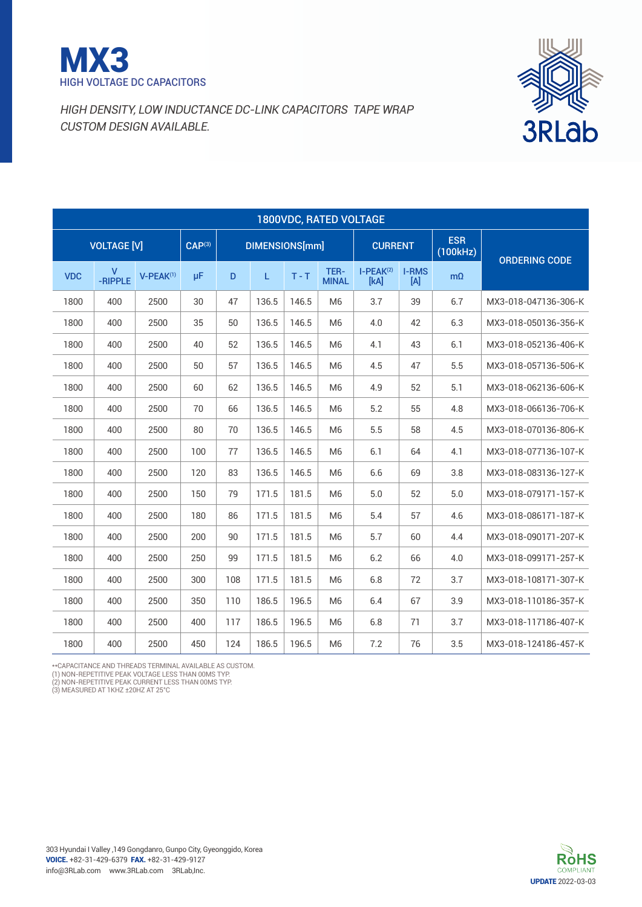



|            | <b>1800VDC, RATED VOLTAGE</b> |                       |             |     |                       |         |                      |                     |                     |                        |                      |  |  |
|------------|-------------------------------|-----------------------|-------------|-----|-----------------------|---------|----------------------|---------------------|---------------------|------------------------|----------------------|--|--|
|            | <b>VOLTAGE [V]</b>            |                       | $CAP^{(3)}$ |     | <b>DIMENSIONS[mm]</b> |         |                      | <b>CURRENT</b>      |                     | <b>ESR</b><br>(100kHz) | <b>ORDERING CODE</b> |  |  |
| <b>VDC</b> | v<br>-RIPPLE                  | V-PEAK <sup>(1)</sup> | μF          | D   | L                     | $T - T$ | TER-<br><b>MINAL</b> | $I-PEAK(2)$<br>[kA] | <b>I-RMS</b><br>[A] | $m\Omega$              |                      |  |  |
| 1800       | 400                           | 2500                  | 30          | 47  | 136.5                 | 146.5   | M <sub>6</sub>       | 3.7                 | 39                  | 6.7                    | MX3-018-047136-306-K |  |  |
| 1800       | 400                           | 2500                  | 35          | 50  | 136.5                 | 146.5   | M <sub>6</sub>       | 4.0                 | 42                  | 6.3                    | MX3-018-050136-356-K |  |  |
| 1800       | 400                           | 2500                  | 40          | 52  | 136.5                 | 146.5   | M <sub>6</sub>       | 4.1                 | 43                  | 6.1                    | MX3-018-052136-406-K |  |  |
| 1800       | 400                           | 2500                  | 50          | 57  | 136.5                 | 146.5   | M <sub>6</sub>       | 4.5                 | 47                  | 5.5                    | MX3-018-057136-506-K |  |  |
| 1800       | 400                           | 2500                  | 60          | 62  | 136.5                 | 146.5   | M <sub>6</sub>       | 4.9                 | 52                  | 5.1                    | MX3-018-062136-606-K |  |  |
| 1800       | 400                           | 2500                  | 70          | 66  | 136.5                 | 146.5   | M <sub>6</sub>       | 5.2                 | 55                  | 4.8                    | MX3-018-066136-706-K |  |  |
| 1800       | 400                           | 2500                  | 80          | 70  | 136.5                 | 146.5   | M <sub>6</sub>       | 5.5                 | 58                  | 4.5                    | MX3-018-070136-806-K |  |  |
| 1800       | 400                           | 2500                  | 100         | 77  | 136.5                 | 146.5   | M <sub>6</sub>       | 6.1                 | 64                  | 4.1                    | MX3-018-077136-107-K |  |  |
| 1800       | 400                           | 2500                  | 120         | 83  | 136.5                 | 146.5   | M <sub>6</sub>       | 6.6                 | 69                  | 3.8                    | MX3-018-083136-127-K |  |  |
| 1800       | 400                           | 2500                  | 150         | 79  | 171.5                 | 181.5   | M <sub>6</sub>       | 5.0                 | 52                  | 5.0                    | MX3-018-079171-157-K |  |  |
| 1800       | 400                           | 2500                  | 180         | 86  | 171.5                 | 181.5   | M <sub>6</sub>       | 5.4                 | 57                  | 4.6                    | MX3-018-086171-187-K |  |  |
| 1800       | 400                           | 2500                  | 200         | 90  | 171.5                 | 181.5   | M <sub>6</sub>       | 5.7                 | 60                  | 4.4                    | MX3-018-090171-207-K |  |  |
| 1800       | 400                           | 2500                  | 250         | 99  | 171.5                 | 181.5   | M <sub>6</sub>       | 6.2                 | 66                  | 4.0                    | MX3-018-099171-257-K |  |  |
| 1800       | 400                           | 2500                  | 300         | 108 | 171.5                 | 181.5   | M <sub>6</sub>       | 6.8                 | 72                  | 3.7                    | MX3-018-108171-307-K |  |  |
| 1800       | 400                           | 2500                  | 350         | 110 | 186.5                 | 196.5   | M <sub>6</sub>       | 6.4                 | 67                  | 3.9                    | MX3-018-110186-357-K |  |  |
| 1800       | 400                           | 2500                  | 400         | 117 | 186.5                 | 196.5   | M <sub>6</sub>       | 6.8                 | 71                  | 3.7                    | MX3-018-117186-407-K |  |  |
| 1800       | 400                           | 2500                  | 450         | 124 | 186.5                 | 196.5   | M <sub>6</sub>       | 7.2                 | 76                  | 3.5                    | MX3-018-124186-457-K |  |  |

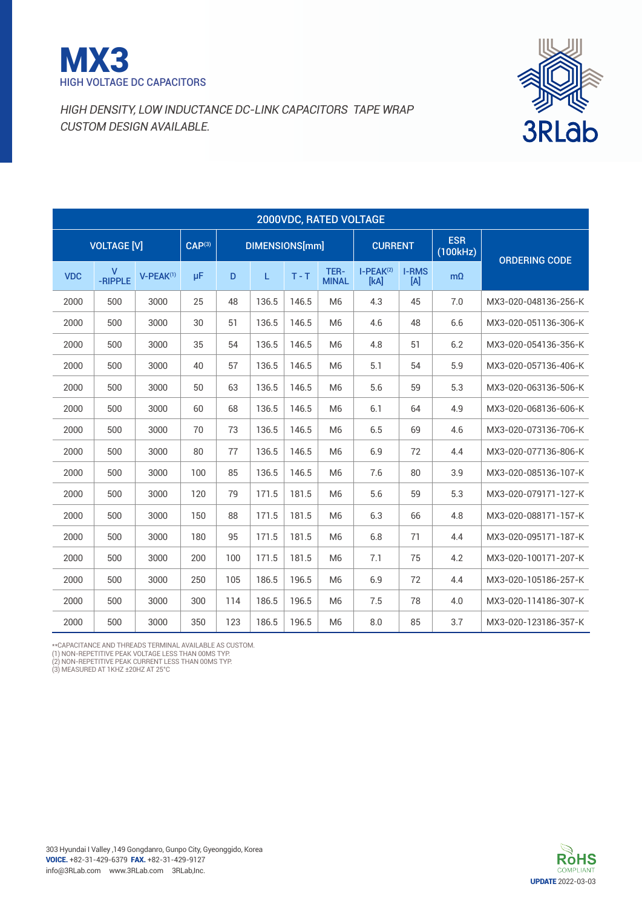



|                                                                                                                                               | 2000VDC, RATED VOLTAGE |      |     |     |       |       |                      |                     |                     |                        |                      |  |
|-----------------------------------------------------------------------------------------------------------------------------------------------|------------------------|------|-----|-----|-------|-------|----------------------|---------------------|---------------------|------------------------|----------------------|--|
| <b>VOLTAGE [V]</b><br>CAP <sup>(3)</sup><br>DIMENSIONS[mm]<br>$\mathsf{V}$<br>μF<br>$T - T$<br><b>VDC</b><br>V-PEAK <sup>(1)</sup><br>D<br>L. |                        |      |     |     |       |       |                      | <b>CURRENT</b>      |                     | <b>ESR</b><br>(100kHz) | <b>ORDERING CODE</b> |  |
|                                                                                                                                               | -RIPPLE                |      |     |     |       |       | TER-<br><b>MINAL</b> | $I-PEAK(2)$<br>[kA] | <b>I-RMS</b><br>[A] | $m\Omega$              |                      |  |
| 2000                                                                                                                                          | 500                    | 3000 | 25  | 48  | 136.5 | 146.5 | M <sub>6</sub>       | 4.3                 | 45                  | 7.0                    | MX3-020-048136-256-K |  |
| 2000                                                                                                                                          | 500                    | 3000 | 30  | 51  | 136.5 | 146.5 | M <sub>6</sub>       | 4.6                 | 48                  | 6.6                    | MX3-020-051136-306-K |  |
| 2000                                                                                                                                          | 500                    | 3000 | 35  | 54  | 136.5 | 146.5 | M <sub>6</sub>       | 4.8                 | 51                  | 6.2                    | MX3-020-054136-356-K |  |
| 2000                                                                                                                                          | 500                    | 3000 | 40  | 57  | 136.5 | 146.5 | M <sub>6</sub>       | 5.1                 | 54                  | 5.9                    | MX3-020-057136-406-K |  |
| 2000                                                                                                                                          | 500                    | 3000 | 50  | 63  | 136.5 | 146.5 | M <sub>6</sub>       | 5.6                 | 59                  | 5.3                    | MX3-020-063136-506-K |  |
| 2000                                                                                                                                          | 500                    | 3000 | 60  | 68  | 136.5 | 146.5 | M <sub>6</sub>       | 6.1                 | 64                  | 4.9                    | MX3-020-068136-606-K |  |
| 2000                                                                                                                                          | 500                    | 3000 | 70  | 73  | 136.5 | 146.5 | M <sub>6</sub>       | 6.5                 | 69                  | 4.6                    | MX3-020-073136-706-K |  |
| 2000                                                                                                                                          | 500                    | 3000 | 80  | 77  | 136.5 | 146.5 | M <sub>6</sub>       | 6.9                 | 72                  | 4.4                    | MX3-020-077136-806-K |  |
| 2000                                                                                                                                          | 500                    | 3000 | 100 | 85  | 136.5 | 146.5 | M <sub>6</sub>       | 7.6                 | 80                  | 3.9                    | MX3-020-085136-107-K |  |
| 2000                                                                                                                                          | 500                    | 3000 | 120 | 79  | 171.5 | 181.5 | M <sub>6</sub>       | 5.6                 | 59                  | 5.3                    | MX3-020-079171-127-K |  |
| 2000                                                                                                                                          | 500                    | 3000 | 150 | 88  | 171.5 | 181.5 | M <sub>6</sub>       | 6.3                 | 66                  | 4.8                    | MX3-020-088171-157-K |  |
| 2000                                                                                                                                          | 500                    | 3000 | 180 | 95  | 171.5 | 181.5 | M <sub>6</sub>       | 6.8                 | 71                  | 4.4                    | MX3-020-095171-187-K |  |
| 2000                                                                                                                                          | 500                    | 3000 | 200 | 100 | 171.5 | 181.5 | M <sub>6</sub>       | 7.1                 | 75                  | 4.2                    | MX3-020-100171-207-K |  |
| 2000                                                                                                                                          | 500                    | 3000 | 250 | 105 | 186.5 | 196.5 | M <sub>6</sub>       | 6.9                 | 72                  | 4.4                    | MX3-020-105186-257-K |  |
| 2000                                                                                                                                          | 500                    | 3000 | 300 | 114 | 186.5 | 196.5 | M <sub>6</sub>       | 7.5                 | 78                  | 4.0                    | MX3-020-114186-307-K |  |
| 2000                                                                                                                                          | 500                    | 3000 | 350 | 123 | 186.5 | 196.5 | M <sub>6</sub>       | 8.0                 | 85                  | 3.7                    | MX3-020-123186-357-K |  |

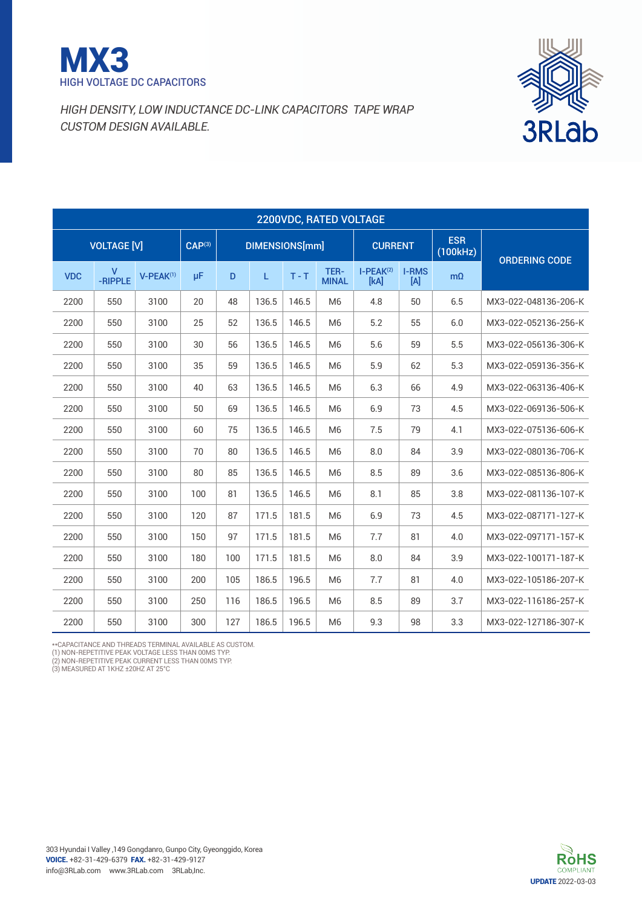



|            | 2200VDC, RATED VOLTAGE  |                       |                    |     |                |         |                      |                     |                     |                        |                      |  |
|------------|-------------------------|-----------------------|--------------------|-----|----------------|---------|----------------------|---------------------|---------------------|------------------------|----------------------|--|
|            | <b>VOLTAGE [V]</b>      |                       | CAP <sup>(3)</sup> |     | DIMENSIONS[mm] |         |                      | <b>CURRENT</b>      |                     | <b>ESR</b><br>(100kHz) | <b>ORDERING CODE</b> |  |
| <b>VDC</b> | $\mathsf{V}$<br>-RIPPLE | V-PEAK <sup>(1)</sup> | $\mu$ F            | D   | L.             | $T - T$ | TER-<br><b>MINAL</b> | $I-PEAK(2)$<br>[kA] | <b>I-RMS</b><br>[A] | $m\Omega$              |                      |  |
| 2200       | 550                     | 3100                  | 20                 | 48  | 136.5          | 146.5   | M <sub>6</sub>       | 4.8                 | 50                  | 6.5                    | MX3-022-048136-206-K |  |
| 2200       | 550                     | 3100                  | 25                 | 52  | 136.5          | 146.5   | M <sub>6</sub>       | 5.2                 | 55                  | 6.0                    | MX3-022-052136-256-K |  |
| 2200       | 550                     | 3100                  | 30                 | 56  | 136.5          | 146.5   | M <sub>6</sub>       | 5.6                 | 59                  | 5.5                    | MX3-022-056136-306-K |  |
| 2200       | 550                     | 3100                  | 35                 | 59  | 136.5          | 146.5   | M <sub>6</sub>       | 5.9                 | 62                  | 5.3                    | MX3-022-059136-356-K |  |
| 2200       | 550                     | 3100                  | 40                 | 63  | 136.5          | 146.5   | M <sub>6</sub>       | 6.3                 | 66                  | 4.9                    | MX3-022-063136-406-K |  |
| 2200       | 550                     | 3100                  | 50                 | 69  | 136.5          | 146.5   | M <sub>6</sub>       | 6.9                 | 73                  | 4.5                    | MX3-022-069136-506-K |  |
| 2200       | 550                     | 3100                  | 60                 | 75  | 136.5          | 146.5   | M <sub>6</sub>       | 7.5                 | 79                  | 4.1                    | MX3-022-075136-606-K |  |
| 2200       | 550                     | 3100                  | 70                 | 80  | 136.5          | 146.5   | M <sub>6</sub>       | 8.0                 | 84                  | 3.9                    | MX3-022-080136-706-K |  |
| 2200       | 550                     | 3100                  | 80                 | 85  | 136.5          | 146.5   | M <sub>6</sub>       | 8.5                 | 89                  | 3.6                    | MX3-022-085136-806-K |  |
| 2200       | 550                     | 3100                  | 100                | 81  | 136.5          | 146.5   | M <sub>6</sub>       | 8.1                 | 85                  | 3.8                    | MX3-022-081136-107-K |  |
| 2200       | 550                     | 3100                  | 120                | 87  | 171.5          | 181.5   | M <sub>6</sub>       | 6.9                 | 73                  | 4.5                    | MX3-022-087171-127-K |  |
| 2200       | 550                     | 3100                  | 150                | 97  | 171.5          | 181.5   | M <sub>6</sub>       | 7.7                 | 81                  | 4.0                    | MX3-022-097171-157-K |  |
| 2200       | 550                     | 3100                  | 180                | 100 | 171.5          | 181.5   | M <sub>6</sub>       | 8.0                 | 84                  | 3.9                    | MX3-022-100171-187-K |  |
| 2200       | 550                     | 3100                  | 200                | 105 | 186.5          | 196.5   | M <sub>6</sub>       | 7.7                 | 81                  | 4.0                    | MX3-022-105186-207-K |  |
| 2200       | 550                     | 3100                  | 250                | 116 | 186.5          | 196.5   | M <sub>6</sub>       | 8.5                 | 89                  | 3.7                    | MX3-022-116186-257-K |  |
| 2200       | 550                     | 3100                  | 300                | 127 | 186.5          | 196.5   | M <sub>6</sub>       | 9.3                 | 98                  | 3.3                    | MX3-022-127186-307-K |  |

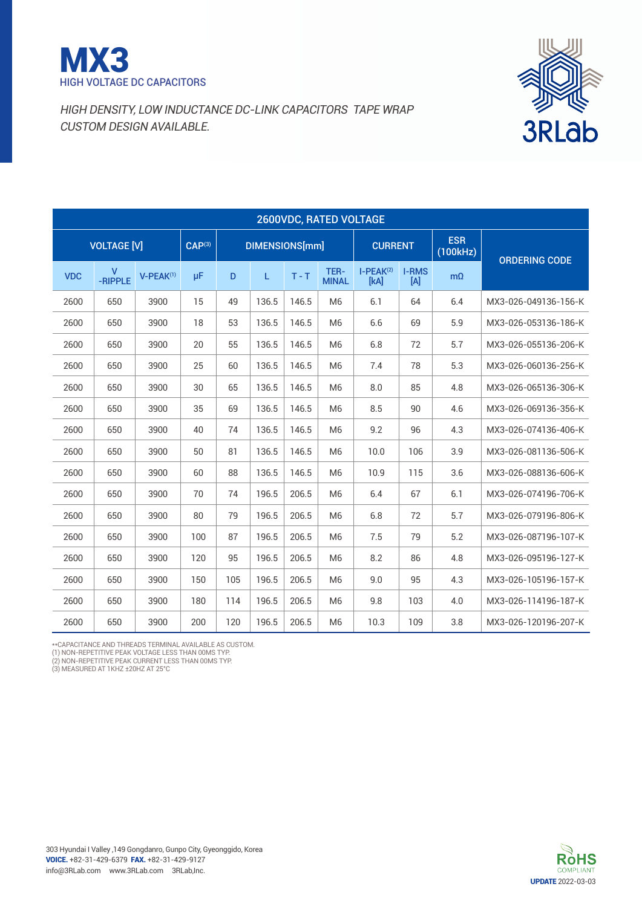



|            | 2600VDC, RATED VOLTAGE  |                       |                    |     |                       |         |                      |                     |                     |                        |                      |  |
|------------|-------------------------|-----------------------|--------------------|-----|-----------------------|---------|----------------------|---------------------|---------------------|------------------------|----------------------|--|
|            | <b>VOLTAGE [V]</b>      |                       | CAP <sup>(3)</sup> |     | <b>DIMENSIONS[mm]</b> |         |                      | <b>CURRENT</b>      |                     | <b>ESR</b><br>(100kHz) | <b>ORDERING CODE</b> |  |
| <b>VDC</b> | $\mathsf{V}$<br>-RIPPLE | V-PEAK <sup>(1)</sup> | μF                 | D   | L.                    | $T - T$ | TER-<br><b>MINAL</b> | $I-PEAK(2)$<br>[kA] | <b>I-RMS</b><br>[A] | $m\Omega$              |                      |  |
| 2600       | 650                     | 3900                  | 15                 | 49  | 136.5                 | 146.5   | M <sub>6</sub>       | 6.1                 | 64                  | 6.4                    | MX3-026-049136-156-K |  |
| 2600       | 650                     | 3900                  | 18                 | 53  | 136.5                 | 146.5   | M <sub>6</sub>       | 6.6                 | 69                  | 5.9                    | MX3-026-053136-186-K |  |
| 2600       | 650                     | 3900                  | 20                 | 55  | 136.5                 | 146.5   | M <sub>6</sub>       | 6.8                 | 72                  | 5.7                    | MX3-026-055136-206-K |  |
| 2600       | 650                     | 3900                  | 25                 | 60  | 136.5                 | 146.5   | M <sub>6</sub>       | 7.4                 | 78                  | 5.3                    | MX3-026-060136-256-K |  |
| 2600       | 650                     | 3900                  | 30                 | 65  | 136.5                 | 146.5   | M <sub>6</sub>       | 8.0                 | 85                  | 4.8                    | MX3-026-065136-306-K |  |
| 2600       | 650                     | 3900                  | 35                 | 69  | 136.5                 | 146.5   | M <sub>6</sub>       | 8.5                 | 90                  | 4.6                    | MX3-026-069136-356-K |  |
| 2600       | 650                     | 3900                  | 40                 | 74  | 136.5                 | 146.5   | M <sub>6</sub>       | 9.2                 | 96                  | 4.3                    | MX3-026-074136-406-K |  |
| 2600       | 650                     | 3900                  | 50                 | 81  | 136.5                 | 146.5   | M <sub>6</sub>       | 10.0                | 106                 | 3.9                    | MX3-026-081136-506-K |  |
| 2600       | 650                     | 3900                  | 60                 | 88  | 136.5                 | 146.5   | M <sub>6</sub>       | 10.9                | 115                 | 3.6                    | MX3-026-088136-606-K |  |
| 2600       | 650                     | 3900                  | 70                 | 74  | 196.5                 | 206.5   | M <sub>6</sub>       | 6.4                 | 67                  | 6.1                    | MX3-026-074196-706-K |  |
| 2600       | 650                     | 3900                  | 80                 | 79  | 196.5                 | 206.5   | M <sub>6</sub>       | 6.8                 | 72                  | 5.7                    | MX3-026-079196-806-K |  |
| 2600       | 650                     | 3900                  | 100                | 87  | 196.5                 | 206.5   | M <sub>6</sub>       | 7.5                 | 79                  | 5.2                    | MX3-026-087196-107-K |  |
| 2600       | 650                     | 3900                  | 120                | 95  | 196.5                 | 206.5   | M <sub>6</sub>       | 8.2                 | 86                  | 4.8                    | MX3-026-095196-127-K |  |
| 2600       | 650                     | 3900                  | 150                | 105 | 196.5                 | 206.5   | M <sub>6</sub>       | 9.0                 | 95                  | 4.3                    | MX3-026-105196-157-K |  |
| 2600       | 650                     | 3900                  | 180                | 114 | 196.5                 | 206.5   | M <sub>6</sub>       | 9.8                 | 103                 | 4.0                    | MX3-026-114196-187-K |  |
| 2600       | 650                     | 3900                  | 200                | 120 | 196.5                 | 206.5   | M <sub>6</sub>       | 10.3                | 109                 | 3.8                    | MX3-026-120196-207-K |  |

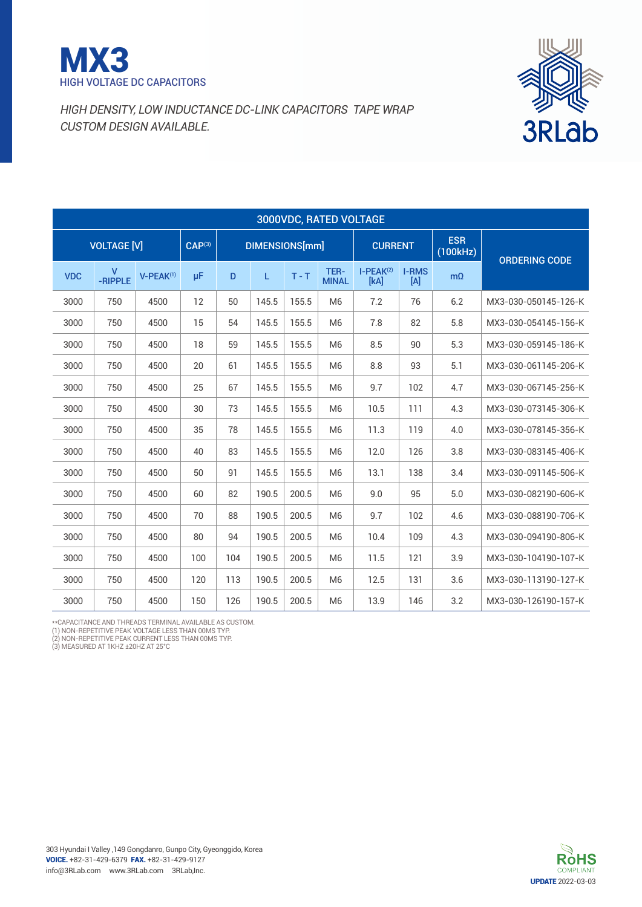



| 3000VDC, RATED VOLTAGE |                         |                    |                |     |       |         |                      |                     |                        |                      |                      |
|------------------------|-------------------------|--------------------|----------------|-----|-------|---------|----------------------|---------------------|------------------------|----------------------|----------------------|
| <b>VOLTAGE [V]</b>     |                         | CAP <sup>(3)</sup> | DIMENSIONS[mm] |     |       |         | <b>CURRENT</b>       |                     | <b>ESR</b><br>(100kHz) | <b>ORDERING CODE</b> |                      |
| <b>VDC</b>             | $\mathsf{V}$<br>-RIPPLE | $V-PEAK^{(1)}$     | μF             | D   | L.    | $T - T$ | TER-<br><b>MINAL</b> | $I-PEAK(2)$<br>[kA] | <b>I-RMS</b><br>[A]    | $m\Omega$            |                      |
| 3000                   | 750                     | 4500               | 12             | 50  | 145.5 | 155.5   | M <sub>6</sub>       | 7.2                 | 76                     | 6.2                  | MX3-030-050145-126-K |
| 3000                   | 750                     | 4500               | 15             | 54  | 145.5 | 155.5   | M <sub>6</sub>       | 7.8                 | 82                     | 5.8                  | MX3-030-054145-156-K |
| 3000                   | 750                     | 4500               | 18             | 59  | 145.5 | 155.5   | M <sub>6</sub>       | 8.5                 | 90                     | 5.3                  | MX3-030-059145-186-K |
| 3000                   | 750                     | 4500               | 20             | 61  | 145.5 | 155.5   | M <sub>6</sub>       | 8.8                 | 93                     | 5.1                  | MX3-030-061145-206-K |
| 3000                   | 750                     | 4500               | 25             | 67  | 145.5 | 155.5   | M <sub>6</sub>       | 9.7                 | 102                    | 4.7                  | MX3-030-067145-256-K |
| 3000                   | 750                     | 4500               | 30             | 73  | 145.5 | 155.5   | M <sub>6</sub>       | 10.5                | 111                    | 4.3                  | MX3-030-073145-306-K |
| 3000                   | 750                     | 4500               | 35             | 78  | 145.5 | 155.5   | M <sub>6</sub>       | 11.3                | 119                    | 4.0                  | MX3-030-078145-356-K |
| 3000                   | 750                     | 4500               | 40             | 83  | 145.5 | 155.5   | M <sub>6</sub>       | 12.0                | 126                    | 3.8                  | MX3-030-083145-406-K |
| 3000                   | 750                     | 4500               | 50             | 91  | 145.5 | 155.5   | M <sub>6</sub>       | 13.1                | 138                    | 3.4                  | MX3-030-091145-506-K |
| 3000                   | 750                     | 4500               | 60             | 82  | 190.5 | 200.5   | M <sub>6</sub>       | 9.0                 | 95                     | 5.0                  | MX3-030-082190-606-K |
| 3000                   | 750                     | 4500               | 70             | 88  | 190.5 | 200.5   | M <sub>6</sub>       | 9.7                 | 102                    | 4.6                  | MX3-030-088190-706-K |
| 3000                   | 750                     | 4500               | 80             | 94  | 190.5 | 200.5   | M <sub>6</sub>       | 10.4                | 109                    | 4.3                  | MX3-030-094190-806-K |
| 3000                   | 750                     | 4500               | 100            | 104 | 190.5 | 200.5   | M <sub>6</sub>       | 11.5                | 121                    | 3.9                  | MX3-030-104190-107-K |
| 3000                   | 750                     | 4500               | 120            | 113 | 190.5 | 200.5   | M <sub>6</sub>       | 12.5                | 131                    | 3.6                  | MX3-030-113190-127-K |
| 3000                   | 750                     | 4500               | 150            | 126 | 190.5 | 200.5   | M <sub>6</sub>       | 13.9                | 146                    | 3.2                  | MX3-030-126190-157-K |

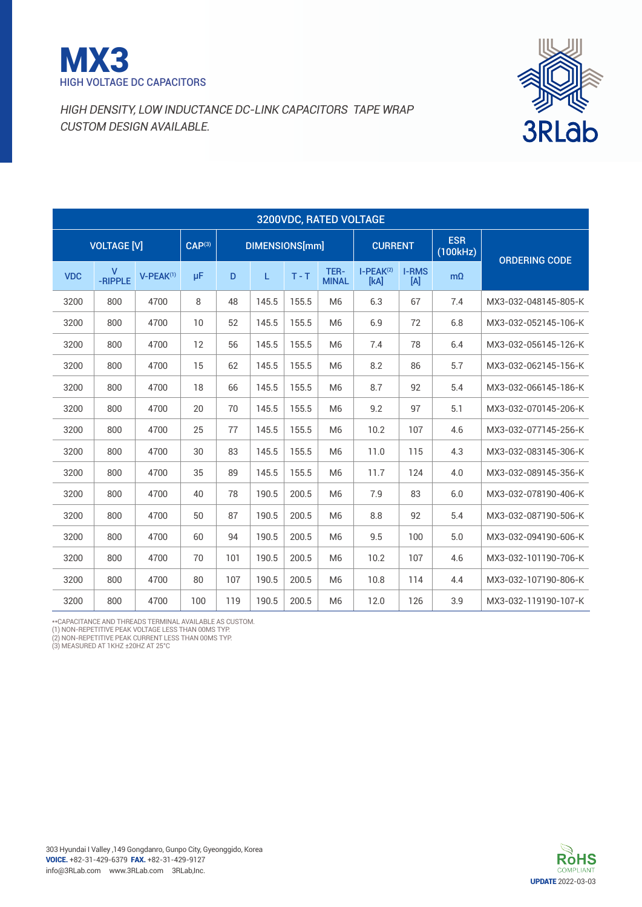



| 3200VDC, RATED VOLTAGE |            |                         |                |     |     |       |                |                      |                        |                                 |           |                      |
|------------------------|------------|-------------------------|----------------|-----|-----|-------|----------------|----------------------|------------------------|---------------------------------|-----------|----------------------|
| <b>VOLTAGE [V]</b>     |            | CAP <sup>(3)</sup>      | DIMENSIONS[mm] |     |     |       | <b>CURRENT</b> |                      | <b>ESR</b><br>(100kHz) | <b>ORDERING CODE</b>            |           |                      |
|                        | <b>VDC</b> | $\mathsf{V}$<br>-RIPPLE | $V-PEAK^{(1)}$ | μF  | D   | L.    | $T - T$        | TER-<br><b>MINAL</b> | $I-PEAK(2)$<br>[kA]    | <b>I-RMS</b><br>$[{\mathsf A}]$ | $m\Omega$ |                      |
|                        | 3200       | 800                     | 4700           | 8   | 48  | 145.5 | 155.5          | M <sub>6</sub>       | 6.3                    | 67                              | 7.4       | MX3-032-048145-805-K |
|                        | 3200       | 800                     | 4700           | 10  | 52  | 145.5 | 155.5          | M <sub>6</sub>       | 6.9                    | 72                              | 6.8       | MX3-032-052145-106-K |
|                        | 3200       | 800                     | 4700           | 12  | 56  | 145.5 | 155.5          | M <sub>6</sub>       | 7.4                    | 78                              | 6.4       | MX3-032-056145-126-K |
|                        | 3200       | 800                     | 4700           | 15  | 62  | 145.5 | 155.5          | M <sub>6</sub>       | 8.2                    | 86                              | 5.7       | MX3-032-062145-156-K |
|                        | 3200       | 800                     | 4700           | 18  | 66  | 145.5 | 155.5          | M <sub>6</sub>       | 8.7                    | 92                              | 5.4       | MX3-032-066145-186-K |
|                        | 3200       | 800                     | 4700           | 20  | 70  | 145.5 | 155.5          | M <sub>6</sub>       | 9.2                    | 97                              | 5.1       | MX3-032-070145-206-K |
|                        | 3200       | 800                     | 4700           | 25  | 77  | 145.5 | 155.5          | M <sub>6</sub>       | 10.2                   | 107                             | 4.6       | MX3-032-077145-256-K |
|                        | 3200       | 800                     | 4700           | 30  | 83  | 145.5 | 155.5          | M <sub>6</sub>       | 11.0                   | 115                             | 4.3       | MX3-032-083145-306-K |
|                        | 3200       | 800                     | 4700           | 35  | 89  | 145.5 | 155.5          | M <sub>6</sub>       | 11.7                   | 124                             | 4.0       | MX3-032-089145-356-K |
|                        | 3200       | 800                     | 4700           | 40  | 78  | 190.5 | 200.5          | M <sub>6</sub>       | 7.9                    | 83                              | 6.0       | MX3-032-078190-406-K |
|                        | 3200       | 800                     | 4700           | 50  | 87  | 190.5 | 200.5          | M <sub>6</sub>       | 8.8                    | 92                              | 5.4       | MX3-032-087190-506-K |
|                        | 3200       | 800                     | 4700           | 60  | 94  | 190.5 | 200.5          | M <sub>6</sub>       | 9.5                    | 100                             | 5.0       | MX3-032-094190-606-K |
|                        | 3200       | 800                     | 4700           | 70  | 101 | 190.5 | 200.5          | M <sub>6</sub>       | 10.2                   | 107                             | 4.6       | MX3-032-101190-706-K |
|                        | 3200       | 800                     | 4700           | 80  | 107 | 190.5 | 200.5          | M <sub>6</sub>       | 10.8                   | 114                             | 4.4       | MX3-032-107190-806-K |
|                        | 3200       | 800                     | 4700           | 100 | 119 | 190.5 | 200.5          | M <sub>6</sub>       | 12.0                   | 126                             | 3.9       | MX3-032-119190-107-K |